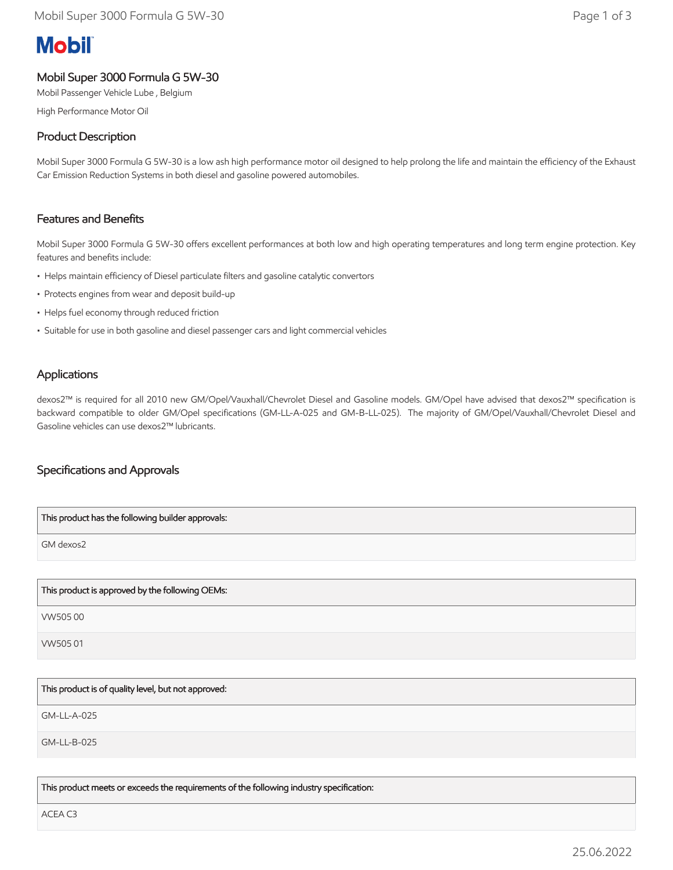# **Mobil**

# Mobil Super 3000 Formula G 5W-30

Mobil Passenger Vehicle Lube , Belgium

High Performance Motor Oil

## Product Description

Mobil Super 3000 Formula G 5W-30 is a low ash high performance motor oil designed to help prolong the life and maintain the efficiency of the Exhaust Car Emission Reduction Systems in both diesel and gasoline powered automobiles.

## Features and Benefits

Mobil Super 3000 Formula G 5W-30 offers excellent performances at both low and high operating temperatures and long term engine protection. Key features and benefits include:

- Helps maintain efficiency of Diesel particulate filters and gasoline catalytic convertors
- Protects engines from wear and deposit build-up
- Helps fuel economy through reduced friction
- Suitable for use in both gasoline and diesel passenger cars and light commercial vehicles

## **Applications**

dexos2™ is required for all 2010 new GM/Opel/Vauxhall/Chevrolet Diesel and Gasoline models. GM/Opel have advised that dexos2™ specification is backward compatible to older GM/Opel specifications (GM-LL-A-025 and GM-B-LL-025). The majority of GM/Opel/Vauxhall/Chevrolet Diesel and Gasoline vehicles can use dexos2™ lubricants.

## Specifications and Approvals

| This product has the following builder approvals: |
|---------------------------------------------------|
| GM dexos2                                         |
|                                                   |
| This product is approved by the following OEMs:   |

VW505 00

VW505 01

This product is of quality level, but not approved:

GM-LL-A-025

GM-LL-B-025

This product meets or exceeds the requirements of the following industry specification:

ACEA C3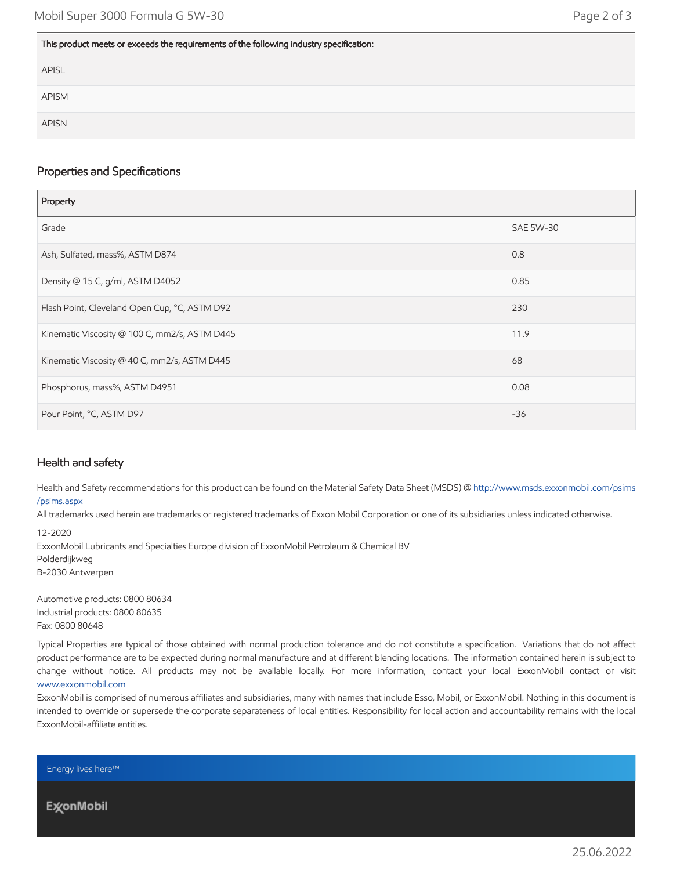#### This product meets or exceeds the requirements of the following industry specification:

| APISL        |
|--------------|
| APISM        |
| <b>APISN</b> |

#### Properties and Specifications

| Property                                      |                  |
|-----------------------------------------------|------------------|
| Grade                                         | <b>SAE 5W-30</b> |
| Ash, Sulfated, mass%, ASTM D874               | 0.8              |
| Density @ 15 C, g/ml, ASTM D4052              | 0.85             |
| Flash Point, Cleveland Open Cup, °C, ASTM D92 | 230              |
| Kinematic Viscosity @ 100 C, mm2/s, ASTM D445 | 11.9             |
| Kinematic Viscosity @ 40 C, mm2/s, ASTM D445  | 68               |
| Phosphorus, mass%, ASTM D4951                 | 0.08             |
| Pour Point, °C, ASTM D97                      | $-36$            |

## Health and safety

Health and Safety recommendations for this product can be found on the Material Safety Data Sheet (MSDS) @ [http://www.msds.exxonmobil.com/psims](http://www.msds.exxonmobil.com/psims/psims.aspx) /psims.aspx

All trademarks used herein are trademarks or registered trademarks of Exxon Mobil Corporation or one of its subsidiaries unless indicated otherwise.

12-2020

ExxonMobil Lubricants and Specialties Europe division of ExxonMobil Petroleum & Chemical BV Polderdijkweg B-2030 Antwerpen

Automotive products: 0800 80634 Industrial products: 0800 80635 Fax: 0800 80648

Typical Properties are typical of those obtained with normal production tolerance and do not constitute a specification. Variations that do not affect product performance are to be expected during normal manufacture and at different blending locations. The information contained herein is subject to change without notice. All products may not be available locally. For more information, contact your local ExxonMobil contact or visit [www.exxonmobil.com](http://www.exxonmobil.com/)

ExxonMobil is comprised of numerous affiliates and subsidiaries, many with names that include Esso, Mobil, or ExxonMobil. Nothing in this document is intended to override or supersede the corporate separateness of local entities. Responsibility for local action and accountability remains with the local ExxonMobil-affiliate entities.

Energy lives here™

**ExconMobil**